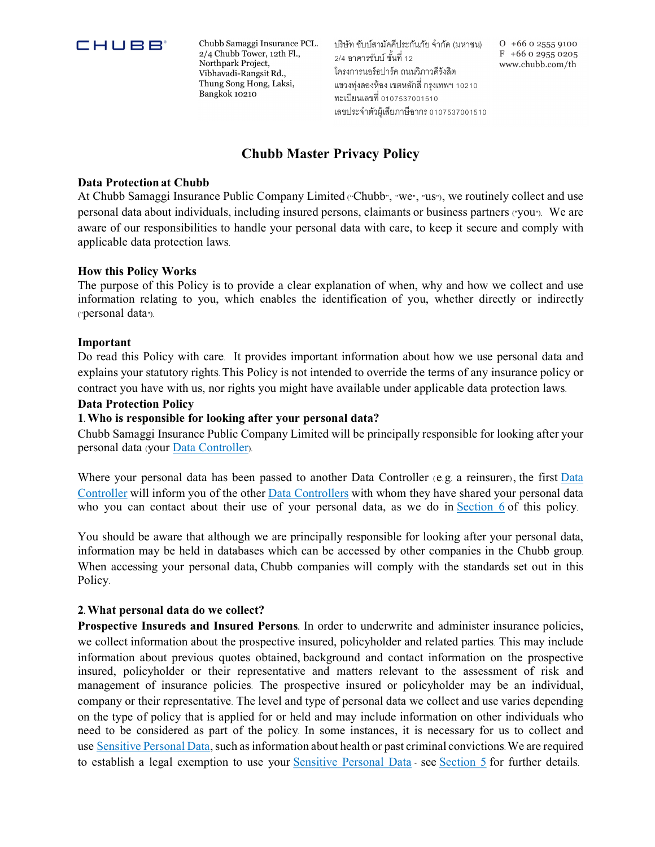

 $\Box$   $\Box$   $\Box$   $\Box$   $\Box$   $\Box$   $\Box$  Chubb Samaggi Insurance PCL. 2/4 Chubb Tower, 12th Fl., Northpark Project, Vibhavadi-Rangsit Rd., Thung Song Hong, Laksi,

 $\text{Bangkok } 10210$   $\text{m:}\n$   $\text{m:}\n$   $\text{m:}\n$   $\text{m:}\n$   $\text{m:}\n$   $\text{m:}\n$   $\text{m:}\n$   $\text{m:}\n$   $\text{m:}\n$   $\text{m:}\n$   $\text{m:}\n$   $\text{m:}\n$   $\text{m:}\n$   $\text{m:}\n$   $\text{m:}\n$   $\text{m:}\n$   $\text{m:}\n$   $\text{m:}\n$   $\text{m:}\n$   $\text{m:}\n$   $\text{m$ บริษัท ชับบ์สามัคคีประกันภัย จำกัด (มหาชน)  $2/4$  คาคารซ้าเบ์ชั้นที่ 12 โครงการนอร์ธปาร์ค ถนนวิภาวดีรังสิต แขวงท่งสองห้อง เขตหลักสี่ กรงเทพฯ 10210 เลขประจำตัวผู้เสียภาษีอากร 0107537001510

O +66 0 2555 9100  $F + 66029550205$ www.chubb.com/th

## Chubb Master Privacy Policy

#### Data Protection at Chubb

At Chubb Samaggi Insurance Public Company Limited ("Chubb", "we", "us"), we routinely collect and use personal data about individuals, including insured persons, claimants or business partners ("you"). We are aware of our responsibilities to handle your personal data with care, to keep it secure and comply with applicable data protection laws.

#### How this Policy Works

The purpose of this Policy is to provide a clear explanation of when, why and how we collect and use information relating to you, which enables the identification of you, whether directly or indirectly ("personal data").

#### Important

Do read this Policy with care. It provides important information about how we use personal data and explains your statutory rights. This Policy is not intended to override the terms of any insurance policy or contract you have with us, nor rights you might have available under applicable data protection laws.

#### Data Protection Policy

#### 1. Who is responsible for looking after your personal data?

Chubb Samaggi Insurance Public Company Limited will be principally responsible for looking after your personal data (your Data Controller).

Where your personal data has been passed to another Data Controller (e.g. a reinsurer), the first Data Controller will inform you of the other Data Controllers with whom they have shared your personal data who you can contact about their use of your personal data, as we do in **Section 6** of this policy. You should be aware that although we are principally responsible for looking after your personal data,

information may be held in databases which can be accessed by other companies in the Chubb group. When accessing your personal data, Chubb companies will comply with the standards set out in this Policy.

#### 2. What personal data do we collect?

Prospective Insureds and Insured Persons. In order to underwrite and administer insurance policies, we collect information about the prospective insured, policyholder and related parties. This may include information about previous quotes obtained, background and contact information on the prospective insured, policyholder or their representative and matters relevant to the assessment of risk and management of insurance policies. The prospective insured or policyholder may be an individual, company or their representative. The level and type of personal data we collect and use varies depending on the type of policy that is applied for or held and may include information on other individuals who need to be considered as part of the policy. In some instances, it is necessary for us to collect and use Sensitive Personal Data, such as information about health or past criminal convictions. We are required to establish a legal exemption to use your Sensitive Personal Data - see Section 5 for further details.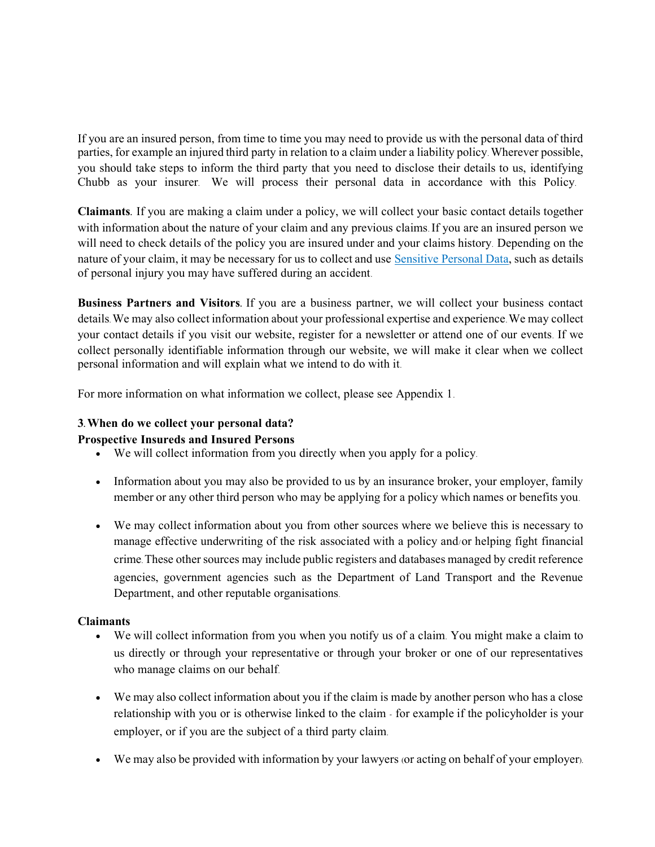If you are an insured person, from time to time you may need to provide us with the personal data of third parties, for example an injured third party in relation to a claim under a liability policy. Wherever possible, you should take steps to inform the third party that you need to disclose their details to us, identifying Chubb as your insurer. We will process their personal data in accordance with this Policy.

Claimants. If you are making a claim under a policy, we will collect your basic contact details together with information about the nature of your claim and any previous claims. If you are an insured person we will need to check details of the policy you are insured under and your claims history. Depending on the nature of your claim, it may be necessary for us to collect and use Sensitive Personal Data, such as details of personal injury you may have suffered during an accident.

Business Partners and Visitors. If you are a business partner, we will collect your business contact details. We may also collect information about your professional expertise and experience. We may collect your contact details if you visit our website, register for a newsletter or attend one of our events. If we collect personally identifiable information through our website, we will make it clear when we collect personal information and will explain what we intend to do with it.

For more information on what information we collect, please see Appendix 1.

# 3. When do we collect your personal data?

## Prospective Insureds and Insured Persons

- We will collect information from you directly when you apply for a policy.
- Information about you may also be provided to us by an insurance broker, your employer, family member or any other third person who may be applying for a policy which names or benefits you.
- We may collect information about you from other sources where we believe this is necessary to manage effective underwriting of the risk associated with a policy and/or helping fight financial crime. These other sources may include public registers and databases managed by credit reference agencies, government agencies such as the Department of Land Transport and the Revenue Department, and other reputable organisations.

## **Claimants**

- We will collect information from you when you notify us of a claim. You might make a claim to us directly or through your representative or through your broker or one of our representatives who manage claims on our behalf.
- We may also collect information about you if the claim is made by another person who has a close relationship with you or is otherwise linked to the claim - for example if the policyholder is your employer, or if you are the subject of a third party claim.
- We may also be provided with information by your lawyers (or acting on behalf of your employer).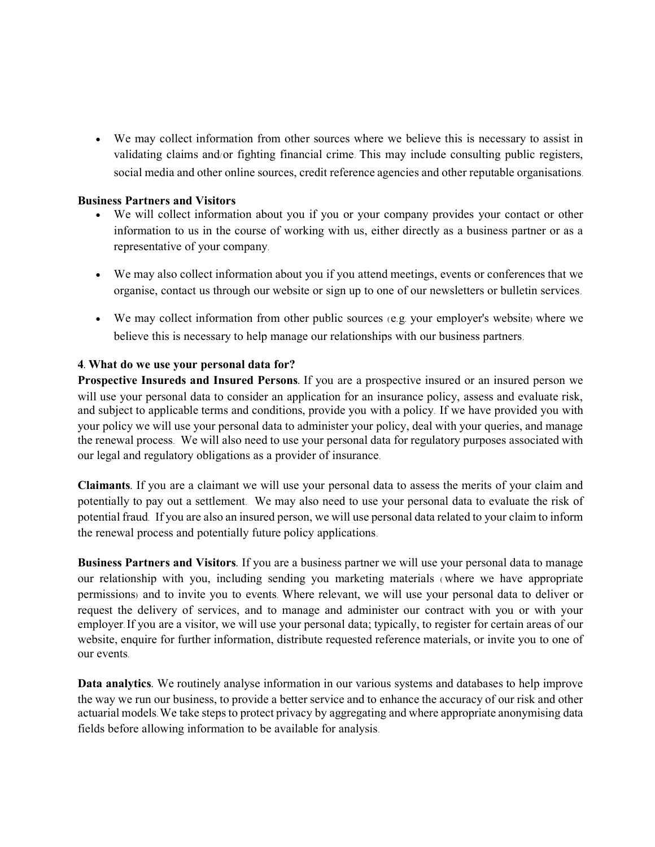We may collect information from other sources where we believe this is necessary to assist in validating claims and/or fighting financial crime. This may include consulting public registers, social media and other online sources, credit reference agencies and other reputable organisations.

#### Business Partners and Visitors

- We will collect information about you if you or your company provides your contact or other information to us in the course of working with us, either directly as a business partner or as a representative of your company.
- We may also collect information about you if you attend meetings, events or conferences that we organise, contact us through our website or sign up to one of our newsletters or bulletin services.
- We may collect information from other public sources (e.g. your employer's website) where we believe this is necessary to help manage our relationships with our business partners.

## 4. What do we use your personal data for?

Prospective Insureds and Insured Persons. If you are a prospective insured or an insured person we will use your personal data to consider an application for an insurance policy, assess and evaluate risk, and subject to applicable terms and conditions, provide you with a policy. If we have provided you with your policy we will use your personal data to administer your policy, deal with your queries, and manage the renewal process. We will also need to use your personal data for regulatory purposes associated with our legal and regulatory obligations as a provider of insurance.

Claimants. If you are a claimant we will use your personal data to assess the merits of your claim and potentially to pay out a settlement. We may also need to use your personal data to evaluate the risk of potential fraud. If you are also an insured person, we will use personal data related to your claim to inform the renewal process and potentially future policy applications.

Business Partners and Visitors. If you are a business partner we will use your personal data to manage our relationship with you, including sending you marketing materials ( where we have appropriate permissions) and to invite you to events. Where relevant, we will use your personal data to deliver or request the delivery of services, and to manage and administer our contract with you or with your employer. If you are a visitor, we will use your personal data; typically, to register for certain areas of our website, enquire for further information, distribute requested reference materials, or invite you to one of our events.

Data analytics. We routinely analyse information in our various systems and databases to help improve the way we run our business, to provide a better service and to enhance the accuracy of our risk and other actuarial models. We take steps to protect privacy by aggregating and where appropriate anonymising data fields before allowing information to be available for analysis.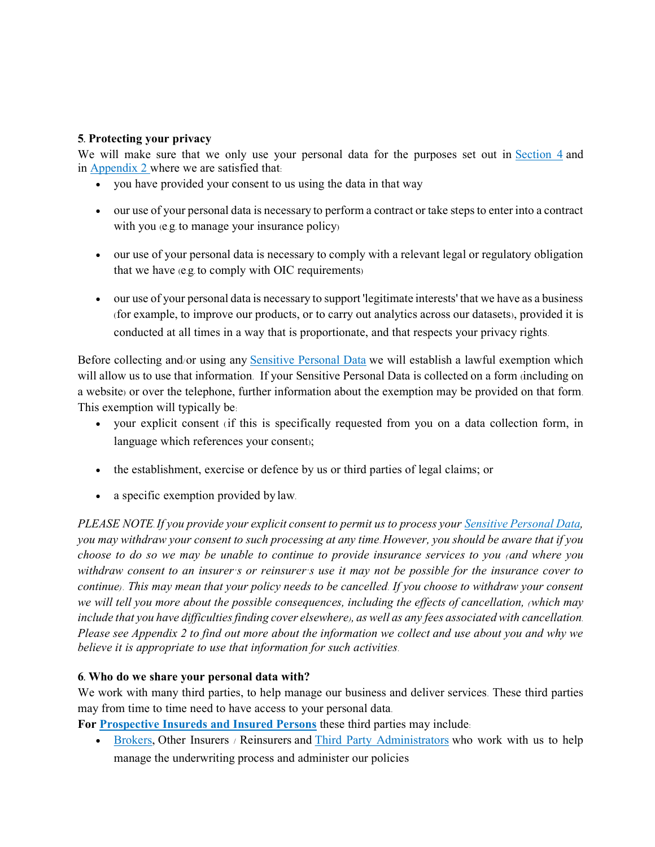## 5. Protecting your privacy

We will make sure that we only use your personal data for the purposes set out in Section 4 and in Appendix 2 where we are satisfied that:

- you have provided your consent to us using the data in that way
- our use of your personal data is necessary to perform a contract or take steps to enter into a contract with you (e.g. to manage your insurance policy)
- our use of your personal data is necessary to comply with a relevant legal or regulatory obligation that we have (e.g. to comply with OIC requirements)
- our use of your personal data is necessary to support 'legitimate interests' that we have as a business (for example, to improve our products, or to carry out analytics across our datasets), provided it is conducted at all times in a way that is proportionate, and that respects your privacy rights.

Before collecting and/or using any Sensitive Personal Data we will establish a lawful exemption which will allow us to use that information. If your Sensitive Personal Data is collected on a form (including on a website) or over the telephone, further information about the exemption may be provided on that form. This exemption will typically be:

- your explicit consent (if this is specifically requested from you on a data collection form, in language which references your consent);
- the establishment, exercise or defence by us or third parties of legal claims; or
- a specific exemption provided by law.

PLEASE NOTE. If you provide your explicit consent to permit us to process your Sensitive Personal Data, you may withdraw your consent to such processing at any time. However, you should be aware that if you choose to do so we may be unable to continue to provide insurance services to you (and where you withdraw consent to an insurer's or reinsurer's use it may not be possible for the insurance cover to continue) . This may mean that your policy needs to be cancelled. If you choose to withdraw your consent we will tell you more about the possible consequences, including the effects of cancellation, (which may include that you have difficulties finding cover elsewhere), as well as any fees associated with cancellation. Please see Appendix 2 to find out more about the information we collect and use about you and why we believe it is appropriate to use that information for such activities.

## 6. Who do we share your personal data with?

We work with many third parties, to help manage our business and deliver services. These third parties may from time to time need to have access to your personal data.

For Prospective Insureds and Insured Persons these third parties may include:

• Brokers, Other Insurers / Reinsurers and Third Party Administrators who work with us to help manage the underwriting process and administer our policies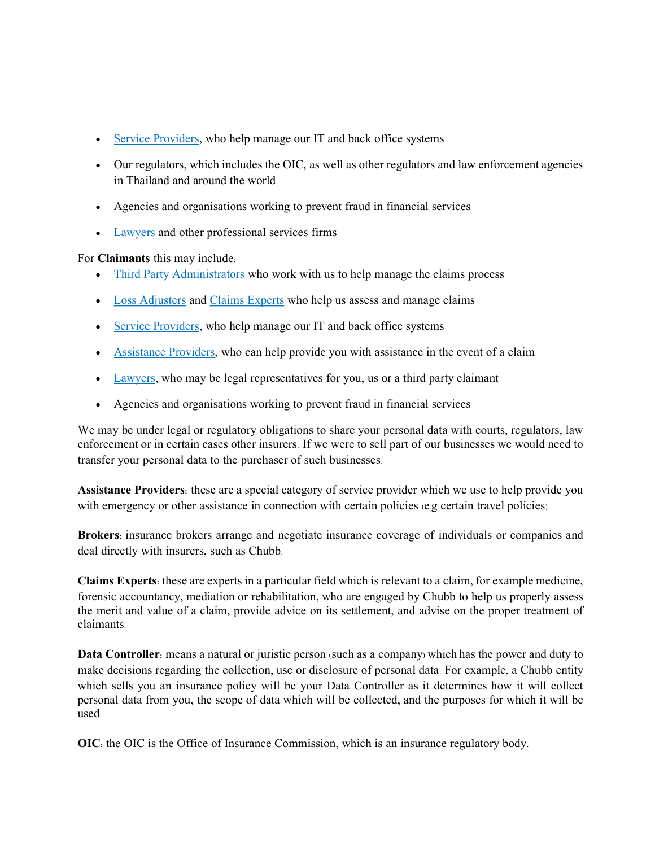- Service Providers, who help manage our IT and back office systems
- Our regulators, which includes the OIC, as well as other regulators and law enforcement agencies in Thailand and around the world
- Agencies and organisations working to prevent fraud in financial services
- Lawyers and other professional services firms

For Claimants this may include:

- Third Party Administrators who work with us to help manage the claims process
- Loss Adjusters and Claims Experts who help us assess and manage claims
- Service Providers, who help manage our IT and back office systems
- Assistance Providers, who can help provide you with assistance in the event of a claim
- Lawyers, who may be legal representatives for you, us or a third party claimant
- Agencies and organisations working to prevent fraud in financial services

We may be under legal or regulatory obligations to share your personal data with courts, regulators, law enforcement or in certain cases other insurers. If we were to sell part of our businesses we would need to transfer your personal data to the purchaser of such businesses.

Assistance Providers: these are a special category of service provider which we use to help provide you with emergency or other assistance in connection with certain policies (e.g. certain travel policies).

Brokers: insurance brokers arrange and negotiate insurance coverage of individuals or companies and deal directly with insurers, such as Chubb.

Claims Experts: these are experts in a particular field which is relevant to a claim, for example medicine, forensic accountancy, mediation or rehabilitation, who are engaged by Chubb to help us properly assess the merit and value of a claim, provide advice on its settlement, and advise on the proper treatment of claimants.

Data Controller: means a natural or juristic person (such as a company) which has the power and duty to make decisions regarding the collection, use or disclosure of personal data. For example, a Chubb entity which sells you an insurance policy will be your Data Controller as it determines how it will collect personal data from you, the scope of data which will be collected, and the purposes for which it will be used.

OIC: the OIC is the Office of Insurance Commission, which is an insurance regulatory body.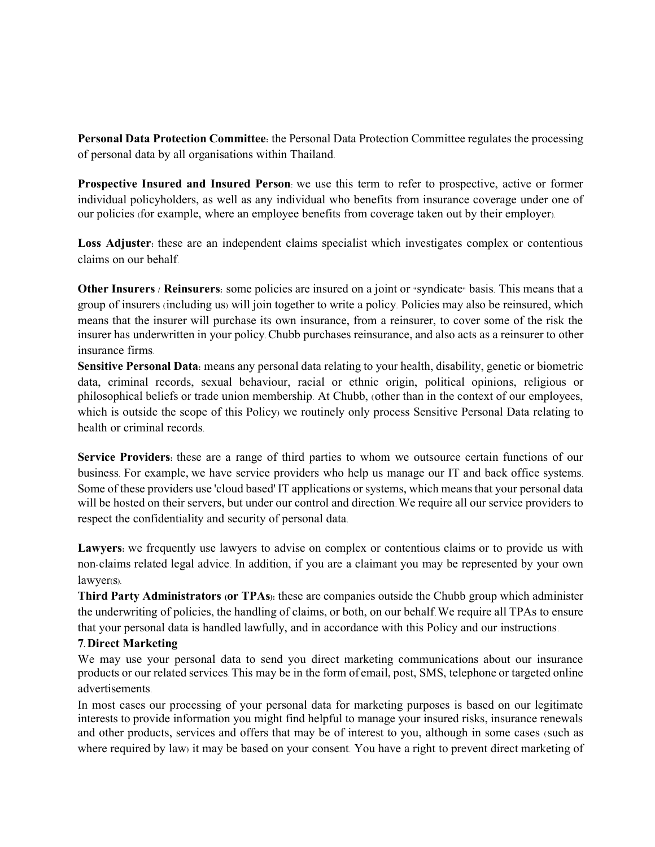Personal Data Protection Committee: the Personal Data Protection Committee regulates the processing of personal data by all organisations within Thailand.

Prospective Insured and Insured Person: we use this term to refer to prospective, active or former individual policyholders, as well as any individual who benefits from insurance coverage under one of our policies (for example, where an employee benefits from coverage taken out by their employer).

Loss Adjuster: these are an independent claims specialist which investigates complex or contentious claims on our behalf.

Other Insurers / Reinsurers: some policies are insured on a joint or "syndicate" basis. This means that a group of insurers (including us) will join together to write a policy. Policies may also be reinsured, which means that the insurer will purchase its own insurance, from a reinsurer, to cover some of the risk the insurer has underwritten in your policy. Chubb purchases reinsurance, and also acts as a reinsurer to other insurance firms.

Sensitive Personal Data: means any personal data relating to your health, disability, genetic or biometric data, criminal records, sexual behaviour, racial or ethnic origin, political opinions, religious or philosophical beliefs or trade union membership. At Chubb, (other than in the context of our employees, which is outside the scope of this Policy) we routinely only process Sensitive Personal Data relating to health or criminal records.

Service Providers: these are a range of third parties to whom we outsource certain functions of our business. For example, we have service providers who help us manage our IT and back office systems. Some of these providers use 'cloud based' IT applications or systems, which means that your personal data will be hosted on their servers, but under our control and direction. We require all our service providers to respect the confidentiality and security of personal data.

Lawyers: we frequently use lawyers to advise on complex or contentious claims or to provide us with non-claims related legal advice. In addition, if you are a claimant you may be represented by your own lawyer(s).

Third Party Administrators (or TPAs): these are companies outside the Chubb group which administer the underwriting of policies, the handling of claims, or both, on our behalf. We require all TPAs to ensure that your personal data is handled lawfully, and in accordance with this Policy and our instructions.

#### 7. Direct Marketing

We may use your personal data to send you direct marketing communications about our insurance products or our related services. This may be in the form of email, post, SMS, telephone or targeted online advertisements.

In most cases our processing of your personal data for marketing purposes is based on our legitimate interests to provide information you might find helpful to manage your insured risks, insurance renewals and other products, services and offers that may be of interest to you, although in some cases (such as where required by law) it may be based on your consent. You have a right to prevent direct marketing of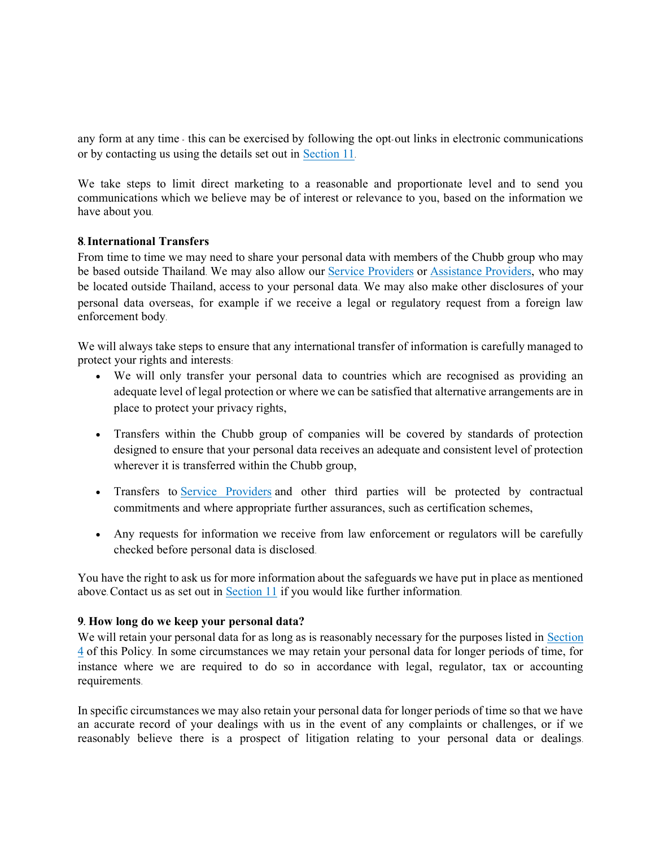any form at any time - this can be exercised by following the opt-out links in electronic communications or by contacting us using the details set out in Section 11.

We take steps to limit direct marketing to a reasonable and proportionate level and to send you communications which we believe may be of interest or relevance to you, based on the information we have about you.

#### 8. International Transfers

From time to time we may need to share your personal data with members of the Chubb group who may be based outside Thailand. We may also allow our Service Providers or Assistance Providers, who may be located outside Thailand, access to your personal data. We may also make other disclosures of your personal data overseas, for example if we receive a legal or regulatory request from a foreign law enforcement body.

We will always take steps to ensure that any international transfer of information is carefully managed to protect your rights and interests:

- We will only transfer your personal data to countries which are recognised as providing an adequate level of legal protection or where we can be satisfied that alternative arrangements are in place to protect your privacy rights,
- Transfers within the Chubb group of companies will be covered by standards of protection designed to ensure that your personal data receives an adequate and consistent level of protection wherever it is transferred within the Chubb group,
- Transfers to Service Providers and other third parties will be protected by contractual commitments and where appropriate further assurances, such as certification schemes,
- Any requests for information we receive from law enforcement or regulators will be carefully checked before personal data is disclosed.

You have the right to ask us for more information about the safeguards we have put in place as mentioned above. Contact us as set out in  $Section 11$  if you would like further information.

#### 9. How long do we keep your personal data?

We will retain your personal data for as long as is reasonably necessary for the purposes listed in Section  $\frac{4}{1}$  of this Policy. In some circumstances we may retain your personal data for longer periods of time, for instance where we are required to do so in accordance with legal, regulator, tax or accounting requirements.

In specific circumstances we may also retain your personal data for longer periods of time so that we have an accurate record of your dealings with us in the event of any complaints or challenges, or if we reasonably believe there is a prospect of litigation relating to your personal data or dealings.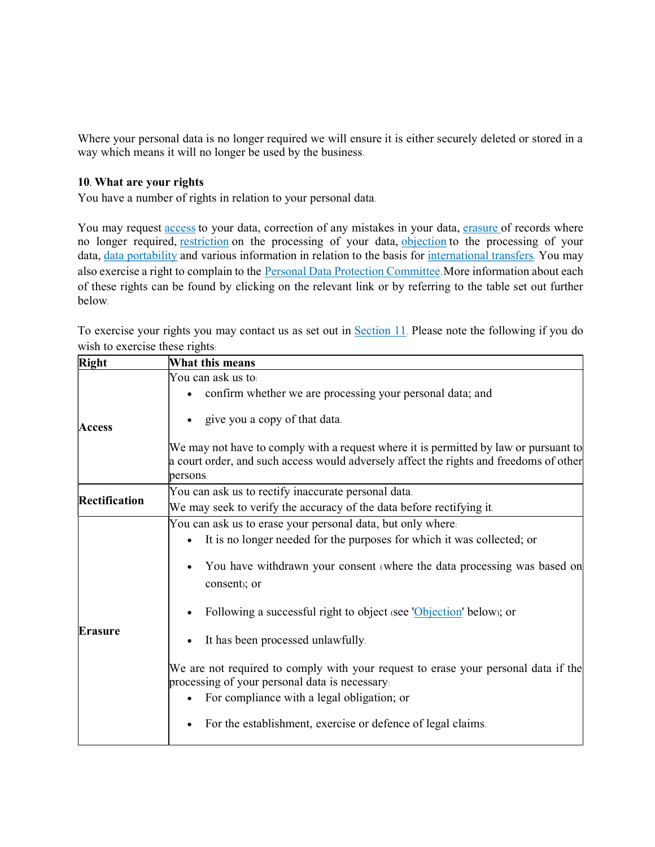Where your personal data is no longer required we will ensure it is either securely deleted or stored in a way which means it will no longer be used by the business.

### 10. What are your rights

You have a number of rights in relation to your personal data.

You may request access to your data, correction of any mistakes in your data, erasure of records where no longer required, restriction on the processing of your data, objection to the processing of your data, data portability and various information in relation to the basis for international transfers. You may also exercise a right to complain to the Personal Data Protection Committee. More information about each of these rights can be found by clicking on the relevant link or by referring to the table set out further below.

To exercise your rights you may contact us as set out in Section 11. Please note the following if you do wish to exercise these rights:

| Right          | What this means                                                                                                                                                                    |
|----------------|------------------------------------------------------------------------------------------------------------------------------------------------------------------------------------|
|                | You can ask us to:                                                                                                                                                                 |
|                | confirm whether we are processing your personal data; and                                                                                                                          |
| <b>Access</b>  | give you a copy of that data.                                                                                                                                                      |
|                | We may not have to comply with a request where it is permitted by law or pursuant to                                                                                               |
|                | a court order, and such access would adversely affect the rights and freedoms of other                                                                                             |
|                | persons.                                                                                                                                                                           |
|                | You can ask us to rectify inaccurate personal data.                                                                                                                                |
| Rectification  | We may seek to verify the accuracy of the data before rectifying it.                                                                                                               |
|                | You can ask us to erase your personal data, but only where.                                                                                                                        |
|                | It is no longer needed for the purposes for which it was collected; or                                                                                                             |
| <b>Erasure</b> | You have withdrawn your consent (where the data processing was based on<br>consent); or                                                                                            |
|                | Following a successful right to object (see 'Objection' below); or                                                                                                                 |
|                | It has been processed unlawfully.                                                                                                                                                  |
|                | We are not required to comply with your request to erase your personal data if the<br>processing of your personal data is necessary.<br>For compliance with a legal obligation; or |
|                | For the establishment, exercise or defence of legal claims.                                                                                                                        |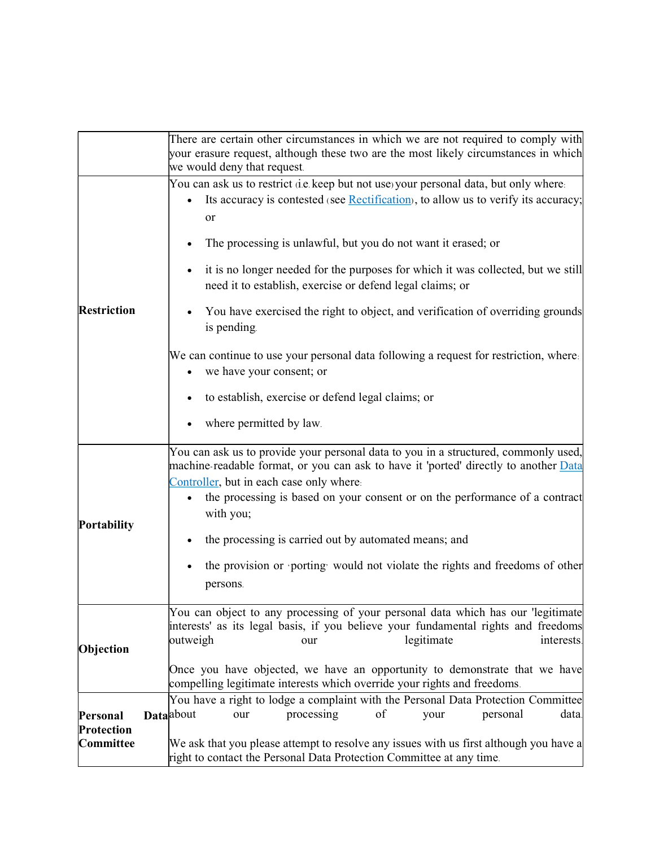|                                     | There are certain other circumstances in which we are not required to comply with<br>your erasure request, although these two are the most likely circumstances in which<br>we would deny that request.                                                                                                                                                                                                                                                                                                                                                                                                                                                                                                                 |  |  |
|-------------------------------------|-------------------------------------------------------------------------------------------------------------------------------------------------------------------------------------------------------------------------------------------------------------------------------------------------------------------------------------------------------------------------------------------------------------------------------------------------------------------------------------------------------------------------------------------------------------------------------------------------------------------------------------------------------------------------------------------------------------------------|--|--|
| <b>Restriction</b>                  | You can ask us to restrict (i.e. keep but not use) your personal data, but only where.<br>Its accuracy is contested (see Rectification), to allow us to verify its accuracy;<br>or<br>The processing is unlawful, but you do not want it erased; or<br>it is no longer needed for the purposes for which it was collected, but we still<br>need it to establish, exercise or defend legal claims; or<br>You have exercised the right to object, and verification of overriding grounds<br>is pending.<br>We can continue to use your personal data following a request for restriction, where.<br>we have your consent; or<br>$\bullet$<br>to establish, exercise or defend legal claims; or<br>where permitted by law. |  |  |
| Portability                         | You can ask us to provide your personal data to you in a structured, commonly used,<br>machine-readable format, or you can ask to have it 'ported' directly to another Data<br>Controller, but in each case only where.<br>the processing is based on your consent or on the performance of a contract<br>$\bullet$<br>with you;<br>the processing is carried out by automated means; and<br>the provision or porting would not violate the rights and freedoms of other<br>persons.                                                                                                                                                                                                                                    |  |  |
| Objection                           | You can object to any processing of your personal data which has our 'legitimate<br>interests' as its legal basis, if you believe your fundamental rights and freedoms<br>legitimate<br>outweigh<br>interests.<br>our<br>Once you have objected, we have an opportunity to demonstrate that we have<br>compelling legitimate interests which override your rights and freedoms.                                                                                                                                                                                                                                                                                                                                         |  |  |
| Personal<br>Protection<br>Committee | You have a right to lodge a complaint with the Personal Data Protection Committee<br>processing<br><b>Data</b> about<br>of<br>personal<br>data.<br>our<br>your<br>We ask that you please attempt to resolve any issues with us first although you have a<br>right to contact the Personal Data Protection Committee at any time.                                                                                                                                                                                                                                                                                                                                                                                        |  |  |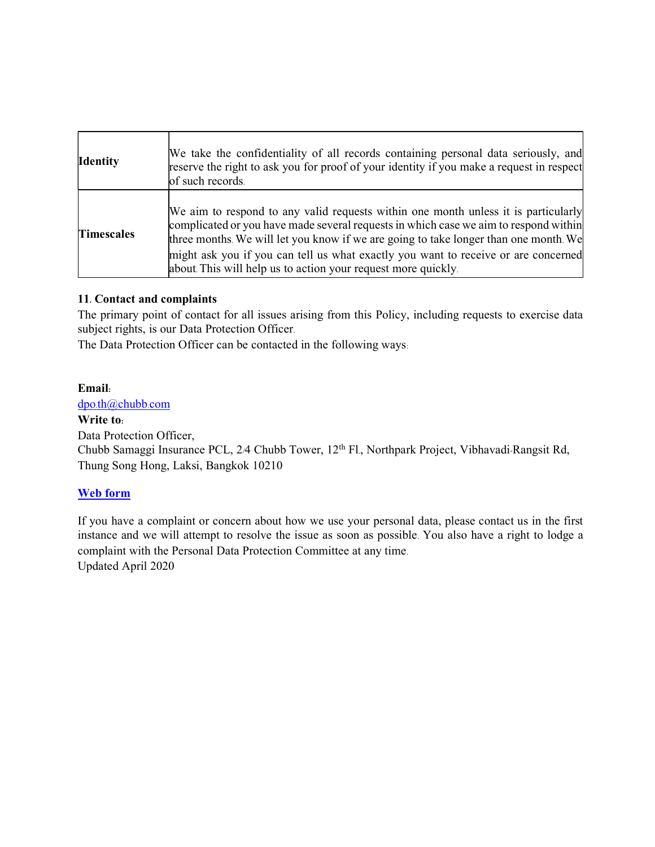| <b>Identity</b>   | We take the confidentiality of all records containing personal data seriously, and<br>reserve the right to ask you for proof of your identity if you make a request in respect<br>of such records.                                                                                                                                                                                                                        |
|-------------------|---------------------------------------------------------------------------------------------------------------------------------------------------------------------------------------------------------------------------------------------------------------------------------------------------------------------------------------------------------------------------------------------------------------------------|
| <b>Timescales</b> | We aim to respond to any valid requests within one month unless it is particularly<br>complicated or you have made several requests in which case we aim to respond within<br>three months. We will let you know if we are going to take longer than one month. We<br>might ask you if you can tell us what exactly you want to receive or are concerned<br>about. This will help us to action your request more quickly. |

## 11. Contact and complaints

The primary point of contact for all issues arising from this Policy, including requests to exercise data subject rights, is our Data Protection Officer.

The Data Protection Officer can be contacted in the following ways:

## Email:

dpo.th@chubb.com

## Write to:

Data Protection Officer,

Chubb Samaggi Insurance PCL, 2/4 Chubb Tower, 12<sup>th</sup> Fl., Northpark Project, Vibhavadi-Rangsit Rd, Thung Song Hong, Laksi, Bangkok 10210

## Web form

If you have a complaint or concern about how we use your personal data, please contact us in the first instance and we will attempt to resolve the issue as soon as possible. You also have a right to lodge a complaint with the Personal Data Protection Committee at any time. Updated April 2020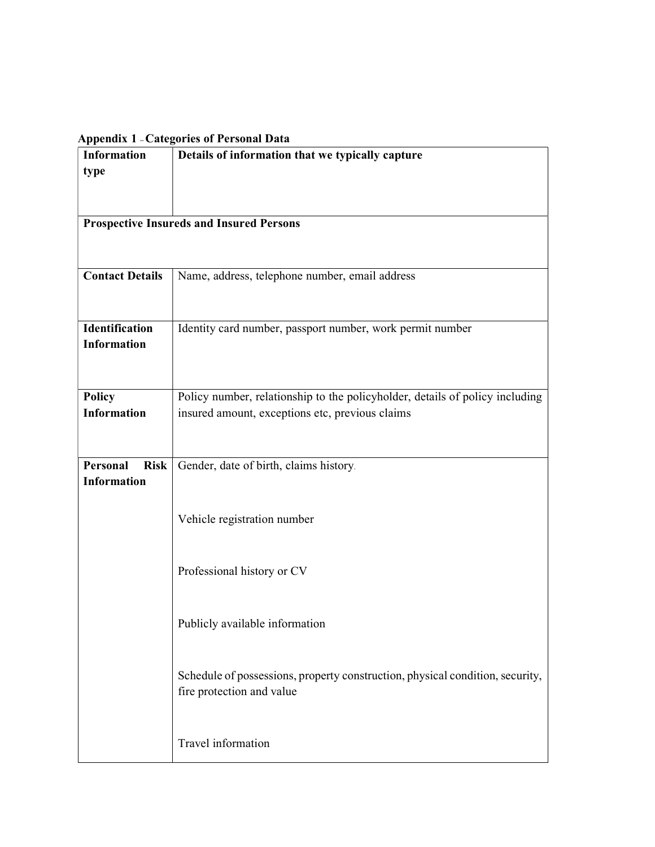## Appendix 1 – Categories of Personal Data

| <b>Information</b>      | Details of information that we typically capture                              |  |  |
|-------------------------|-------------------------------------------------------------------------------|--|--|
| type                    |                                                                               |  |  |
|                         |                                                                               |  |  |
|                         |                                                                               |  |  |
|                         | <b>Prospective Insureds and Insured Persons</b>                               |  |  |
|                         |                                                                               |  |  |
|                         |                                                                               |  |  |
|                         |                                                                               |  |  |
| <b>Contact Details</b>  | Name, address, telephone number, email address                                |  |  |
|                         |                                                                               |  |  |
|                         |                                                                               |  |  |
| Identification          | Identity card number, passport number, work permit number                     |  |  |
| <b>Information</b>      |                                                                               |  |  |
|                         |                                                                               |  |  |
|                         |                                                                               |  |  |
|                         |                                                                               |  |  |
| <b>Policy</b>           | Policy number, relationship to the policyholder, details of policy including  |  |  |
| <b>Information</b>      | insured amount, exceptions etc, previous claims                               |  |  |
|                         |                                                                               |  |  |
|                         |                                                                               |  |  |
| Personal<br><b>Risk</b> | Gender, date of birth, claims history.                                        |  |  |
| <b>Information</b>      |                                                                               |  |  |
|                         |                                                                               |  |  |
|                         | Vehicle registration number                                                   |  |  |
|                         |                                                                               |  |  |
|                         |                                                                               |  |  |
|                         |                                                                               |  |  |
|                         | Professional history or CV                                                    |  |  |
|                         |                                                                               |  |  |
|                         |                                                                               |  |  |
|                         | Publicly available information                                                |  |  |
|                         |                                                                               |  |  |
|                         |                                                                               |  |  |
|                         | Schedule of possessions, property construction, physical condition, security, |  |  |
|                         | fire protection and value                                                     |  |  |
|                         |                                                                               |  |  |
|                         |                                                                               |  |  |
|                         |                                                                               |  |  |
|                         | Travel information                                                            |  |  |
|                         |                                                                               |  |  |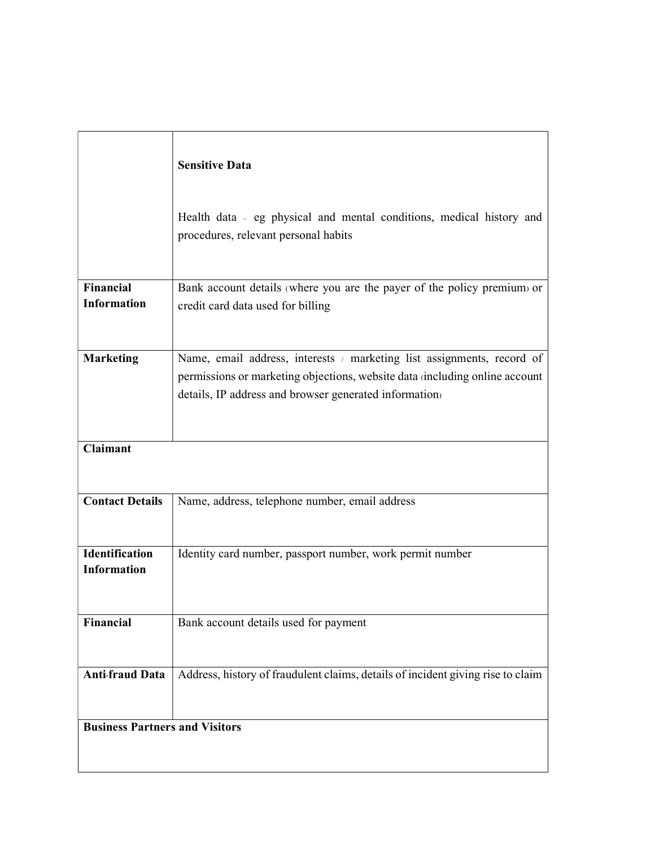|                                             | <b>Sensitive Data</b>                                                                                                                                                                                           |
|---------------------------------------------|-----------------------------------------------------------------------------------------------------------------------------------------------------------------------------------------------------------------|
|                                             | Health data - eg physical and mental conditions, medical history and<br>procedures, relevant personal habits                                                                                                    |
| <b>Financial</b>                            | Bank account details (where you are the payer of the policy premium) or                                                                                                                                         |
| <b>Information</b>                          | credit card data used for billing                                                                                                                                                                               |
|                                             |                                                                                                                                                                                                                 |
| <b>Marketing</b>                            | Name, email address, interests / marketing list assignments, record of<br>permissions or marketing objections, website data (including online account<br>details, IP address and browser generated information) |
|                                             |                                                                                                                                                                                                                 |
| <b>Claimant</b>                             |                                                                                                                                                                                                                 |
| <b>Contact Details</b>                      | Name, address, telephone number, email address                                                                                                                                                                  |
| <b>Identification</b><br><b>Information</b> | Identity card number, passport number, work permit number                                                                                                                                                       |
| Financial                                   | Bank account details used for payment                                                                                                                                                                           |
| <b>Anti-fraud Data</b>                      | Address, history of fraudulent claims, details of incident giving rise to claim                                                                                                                                 |
| <b>Business Partners and Visitors</b>       |                                                                                                                                                                                                                 |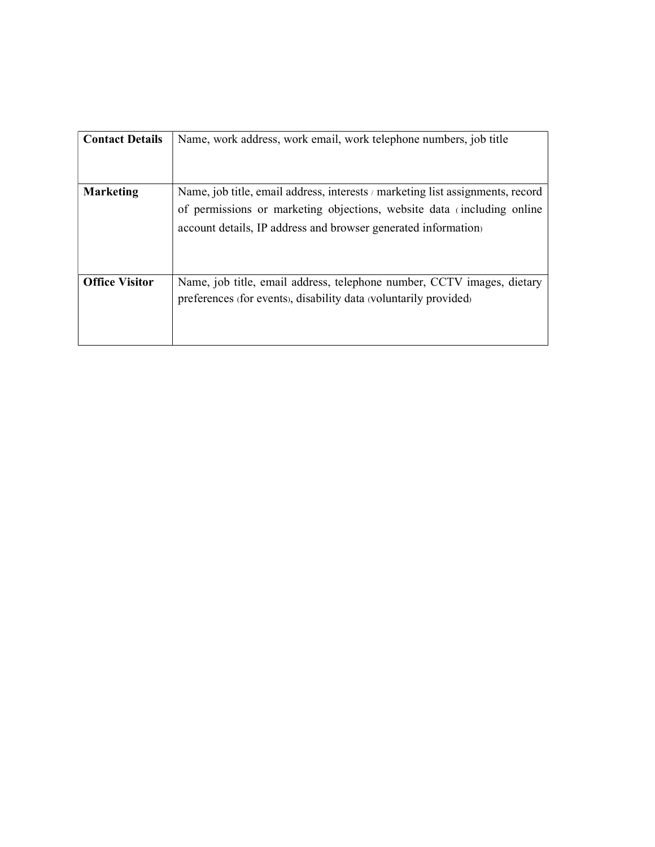| <b>Contact Details</b> | Name, work address, work email, work telephone numbers, job title                                                                                                                                                         |
|------------------------|---------------------------------------------------------------------------------------------------------------------------------------------------------------------------------------------------------------------------|
| <b>Marketing</b>       | Name, job title, email address, interests / marketing list assignments, record<br>of permissions or marketing objections, website data (including online<br>account details, IP address and browser generated information |
| <b>Office Visitor</b>  | Name, job title, email address, telephone number, CCTV images, dietary<br>preferences (for events), disability data (voluntarily provided)                                                                                |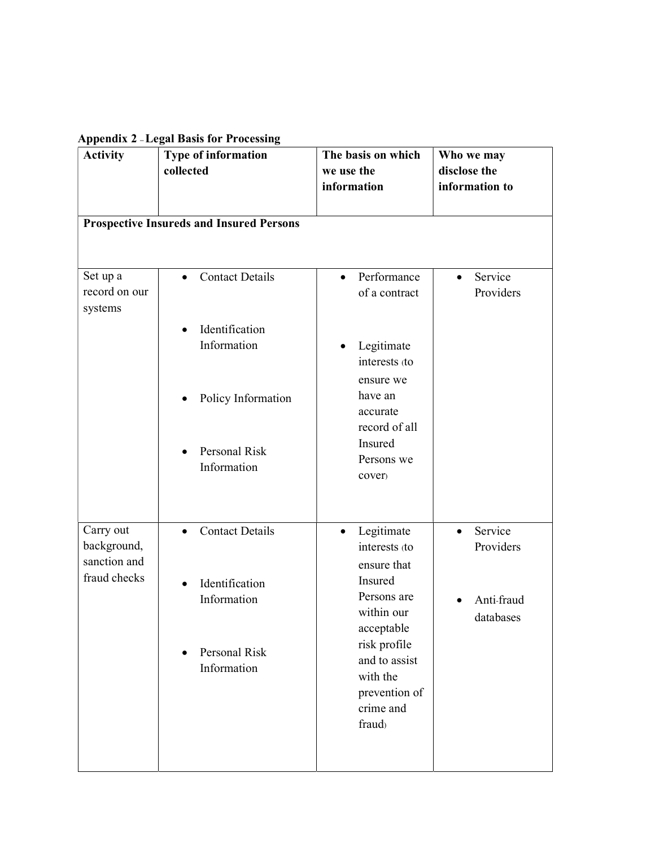Appendix 2 – Legal Basis for Processing

| . .<br><b>Activity</b>                                   | 0<br>Type of information<br>collected           | The basis on which<br>we use the<br>information                    | Who we may<br>disclose the<br>information to |
|----------------------------------------------------------|-------------------------------------------------|--------------------------------------------------------------------|----------------------------------------------|
|                                                          | <b>Prospective Insureds and Insured Persons</b> |                                                                    |                                              |
| Set up a<br>record on our<br>systems                     | <b>Contact Details</b><br>$\bullet$             | Performance<br>$\bullet$<br>of a contract                          | Service<br>$\bullet$<br>Providers            |
|                                                          | Identification<br>$\bullet$<br>Information      | Legitimate<br>$\bullet$<br>interests (to<br>ensure we              |                                              |
|                                                          | Policy Information                              | have an<br>accurate<br>record of all                               |                                              |
|                                                          | Personal Risk<br>Information                    | Insured<br>Persons we<br>cover)                                    |                                              |
| Carry out<br>background,<br>sanction and<br>fraud checks | <b>Contact Details</b><br>$\bullet$             | Legitimate<br>$\bullet$<br>interests (to<br>ensure that            | Service<br>$\bullet$<br>Providers            |
|                                                          | Identification<br>$\bullet$<br>Information      | Insured<br>Persons are<br>within our<br>acceptable<br>risk profile | Anti-fraud<br>databases                      |
|                                                          | Personal Risk<br>Information                    | and to assist<br>with the<br>prevention of<br>crime and<br>fraud)  |                                              |
|                                                          |                                                 |                                                                    |                                              |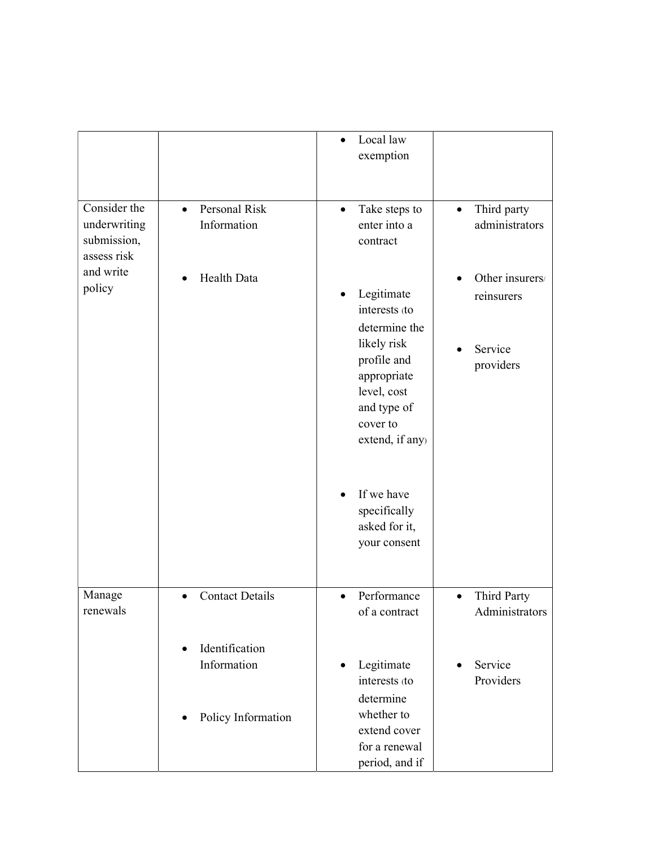|                                                            |                                           | Local law<br>exemption                                                                                |                                            |
|------------------------------------------------------------|-------------------------------------------|-------------------------------------------------------------------------------------------------------|--------------------------------------------|
| Consider the<br>underwriting<br>submission,<br>assess risk | Personal Risk<br>$\bullet$<br>Information | Take steps to<br>$\bullet$<br>enter into a<br>contract                                                | Third party<br>$\bullet$<br>administrators |
| and write<br>policy                                        | Health Data                               | Legitimate<br>interests (to<br>determine the                                                          | Other insurers/<br>reinsurers              |
|                                                            |                                           | likely risk<br>profile and<br>appropriate<br>level, cost<br>and type of<br>cover to<br>extend, if any | Service<br>providers                       |
|                                                            |                                           | If we have<br>specifically<br>asked for it,<br>your consent                                           |                                            |
| Manage<br>renewals                                         | <b>Contact Details</b>                    | Performance<br>of a contract                                                                          | Third Party<br>$\bullet$<br>Administrators |
|                                                            | Identification<br>Information             | Legitimate<br>interests (to<br>determine                                                              | Service<br>$\bullet$<br>Providers          |
|                                                            | Policy Information                        | whether to<br>extend cover<br>for a renewal<br>period, and if                                         |                                            |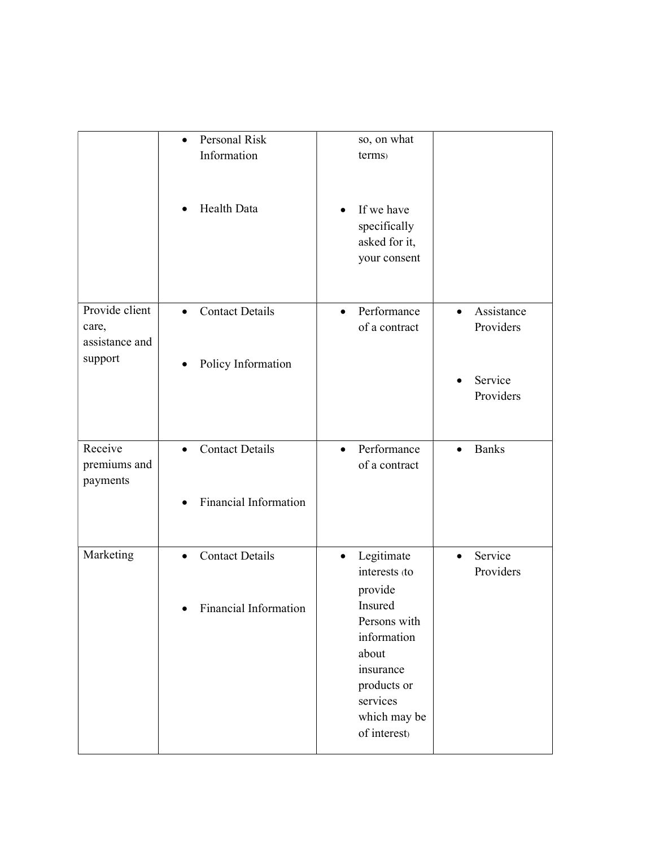|                | Personal Risk<br>$\bullet$          | so, on what              |                           |
|----------------|-------------------------------------|--------------------------|---------------------------|
|                | Information                         | terms)                   |                           |
|                |                                     |                          |                           |
|                |                                     |                          |                           |
|                |                                     |                          |                           |
|                | Health Data<br>$\bullet$            | If we have               |                           |
|                |                                     |                          |                           |
|                |                                     | specifically             |                           |
|                |                                     | asked for it,            |                           |
|                |                                     | your consent             |                           |
|                |                                     |                          |                           |
|                |                                     |                          |                           |
|                |                                     |                          |                           |
| Provide client | <b>Contact Details</b><br>$\bullet$ | Performance<br>$\bullet$ | Assistance<br>$\bullet$   |
| care,          |                                     | of a contract            | Providers                 |
| assistance and |                                     |                          |                           |
| support        |                                     |                          |                           |
|                | Policy Information<br>$\bullet$     |                          |                           |
|                |                                     |                          | Service                   |
|                |                                     |                          | Providers                 |
|                |                                     |                          |                           |
|                |                                     |                          |                           |
|                |                                     |                          |                           |
| Receive        | <b>Contact Details</b><br>$\bullet$ | Performance<br>$\bullet$ | <b>Banks</b><br>$\bullet$ |
| premiums and   |                                     | of a contract            |                           |
| payments       |                                     |                          |                           |
|                | Financial Information               |                          |                           |
|                |                                     |                          |                           |
|                |                                     |                          |                           |
|                |                                     |                          |                           |
| Marketing      | <b>Contact Details</b><br>$\bullet$ | Legitimate<br>$\bullet$  | Service<br>$\bullet$      |
|                |                                     | interests (to            | Providers                 |
|                |                                     |                          |                           |
|                |                                     | provide                  |                           |
|                | Financial Information               | Insured                  |                           |
|                |                                     | Persons with             |                           |
|                |                                     | information              |                           |
|                |                                     | about                    |                           |
|                |                                     | insurance                |                           |
|                |                                     | products or              |                           |
|                |                                     | services                 |                           |
|                |                                     |                          |                           |
|                |                                     | which may be             |                           |
|                |                                     | of interest)             |                           |
|                |                                     |                          |                           |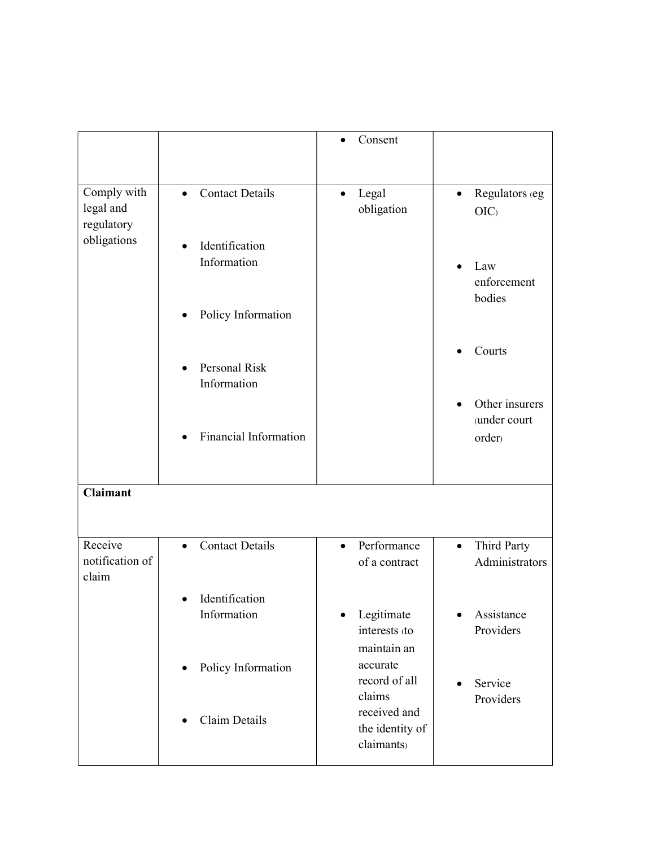|                                        |                                            | Consent                                                 |                                                      |
|----------------------------------------|--------------------------------------------|---------------------------------------------------------|------------------------------------------------------|
| Comply with<br>legal and<br>regulatory | <b>Contact Details</b><br>$\bullet$        | Legal<br>obligation                                     | Regulators (eg<br>$\bullet$<br>OIC                   |
| obligations                            | Identification<br>$\bullet$<br>Information |                                                         | Law<br>enforcement<br>bodies                         |
|                                        | Policy Information<br>٠                    |                                                         |                                                      |
|                                        | Personal Risk<br>Information               |                                                         | Courts                                               |
|                                        | Financial Information                      |                                                         | Other insurers<br>(under court<br>order <sub>)</sub> |
| <b>Claimant</b>                        |                                            |                                                         |                                                      |
| Receive<br>notification of<br>claim    | <b>Contact Details</b><br>$\bullet$        | Performance<br>$\bullet$<br>of a contract               | Third Party<br>$\bullet$<br>Administrators           |
|                                        | Identification<br>$\bullet$<br>Information | Legitimate<br>$\bullet$<br>interests (to<br>maintain an | Assistance<br>$\bullet$<br>Providers                 |
|                                        | Policy Information<br>$\bullet$            | accurate<br>record of all<br>claims<br>received and     | Service<br>Providers                                 |
|                                        | Claim Details                              | the identity of<br>claimants)                           |                                                      |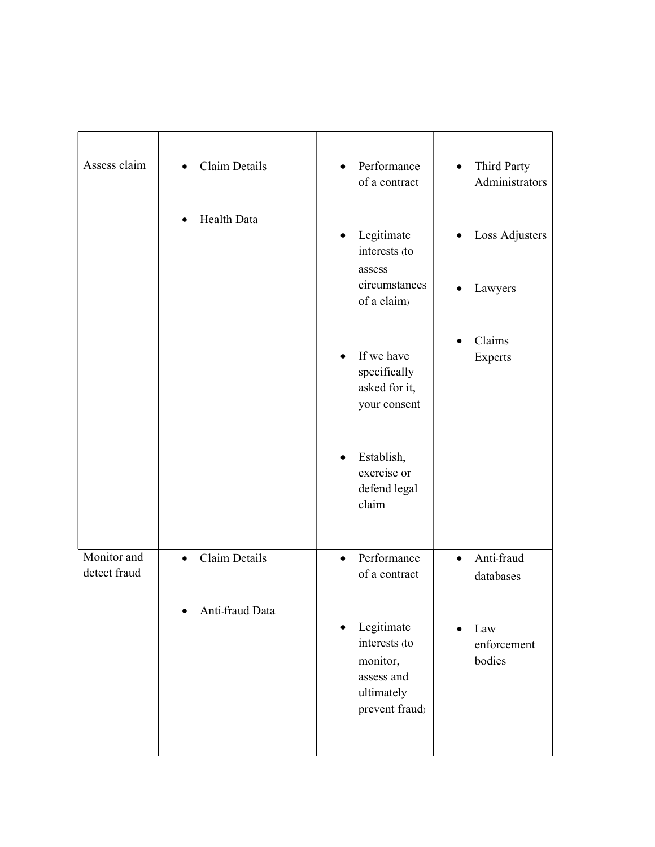| Assess claim                | Claim Details<br>$\bullet$ | Performance<br>$\bullet$<br>of a contract                                             | Third Party<br>$\bullet$<br>Administrators |
|-----------------------------|----------------------------|---------------------------------------------------------------------------------------|--------------------------------------------|
|                             | Health Data                | Legitimate<br>$\bullet$<br>interests (to<br>assess                                    | Loss Adjusters                             |
|                             |                            | circumstances<br>of a claim)                                                          | Lawyers<br>$\bullet$                       |
|                             |                            | If we have<br>specifically<br>asked for it,<br>your consent                           | Claims<br>Experts                          |
|                             |                            | Establish,<br>exercise or<br>defend legal<br>claim                                    |                                            |
| Monitor and<br>detect fraud | Claim Details<br>$\bullet$ | Performance<br>$\bullet$<br>of a contract                                             | Anti-fraud<br>$\bullet$<br>databases       |
|                             | Anti-fraud Data            | Legitimate<br>interests (to<br>monitor,<br>assess and<br>ultimately<br>prevent fraud) | Law<br>enforcement<br>bodies               |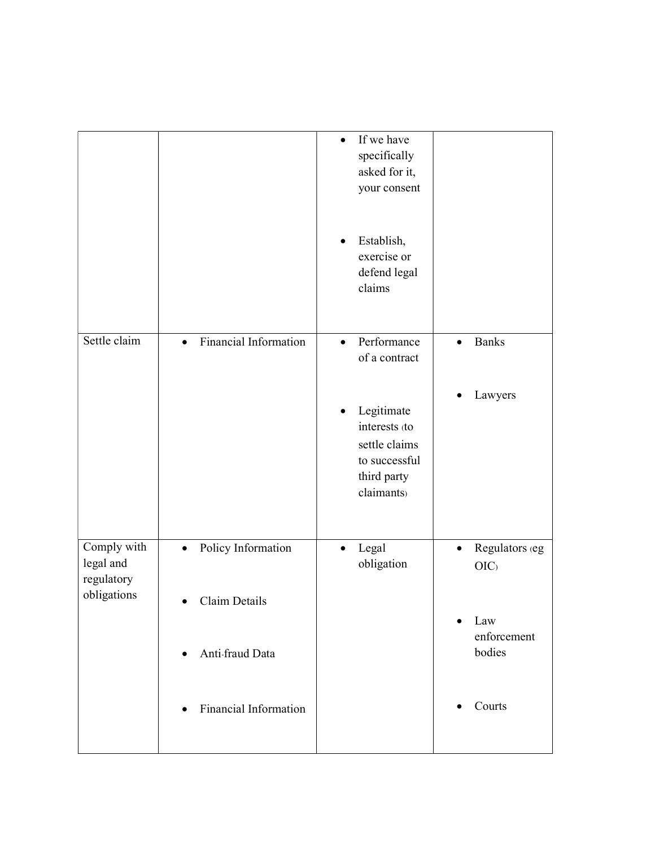|                                                       |                                                            | If we have<br>specifically<br>asked for it,<br>your consent                                |                                    |
|-------------------------------------------------------|------------------------------------------------------------|--------------------------------------------------------------------------------------------|------------------------------------|
|                                                       |                                                            | Establish,<br>exercise or<br>defend legal<br>claims                                        |                                    |
| Settle claim                                          | Financial Information<br>$\bullet$                         | Performance<br>$\bullet$<br>of a contract                                                  | <b>Banks</b><br>$\bullet$          |
|                                                       |                                                            | Legitimate<br>interests (to<br>settle claims<br>to successful<br>third party<br>claimants) | Lawyers                            |
| Comply with<br>legal and<br>regulatory<br>obligations | Policy Information<br>$\bullet$                            | Legal<br>$\bullet$<br>obligation                                                           | Regulators (eg<br>$\bullet$<br>OIC |
|                                                       | Claim Details<br>$\bullet$<br>Anti-fraud Data<br>$\bullet$ |                                                                                            | Law<br>enforcement<br>bodies       |
|                                                       | <b>Financial Information</b><br>$\bullet$                  |                                                                                            | Courts                             |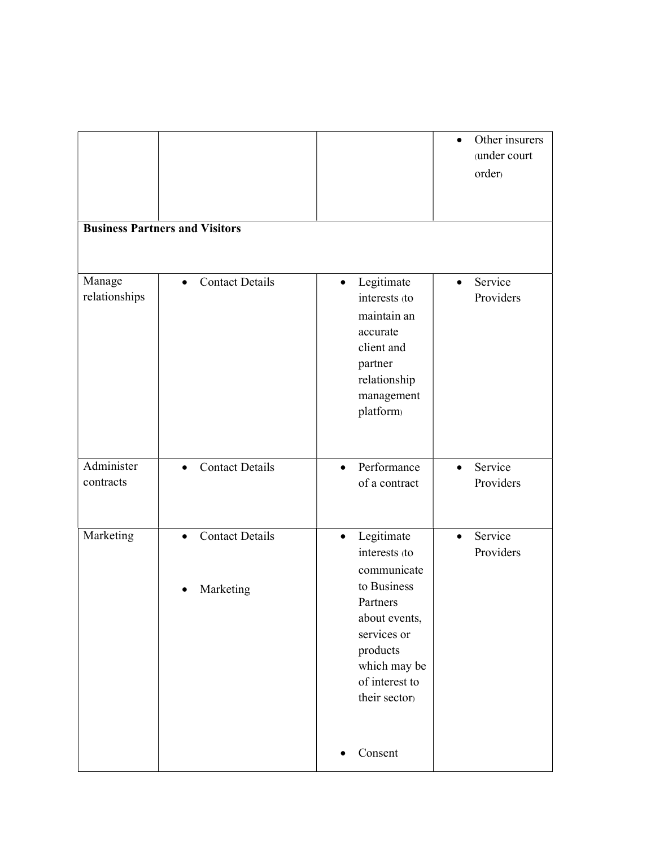|                         | <b>Business Partners and Visitors</b>            |                                                                                                                                                                                   | Other insurers<br>$\bullet$<br>(under court<br>order) |
|-------------------------|--------------------------------------------------|-----------------------------------------------------------------------------------------------------------------------------------------------------------------------------------|-------------------------------------------------------|
| Manage<br>relationships | <b>Contact Details</b><br>$\bullet$              | Legitimate<br>$\bullet$<br>interests (to<br>maintain an<br>accurate<br>client and<br>partner<br>relationship<br>management<br>platform)                                           | Service<br>$\bullet$<br>Providers                     |
| Administer<br>contracts | <b>Contact Details</b><br>$\bullet$              | Performance<br>$\bullet$<br>of a contract                                                                                                                                         | Service<br>$\bullet$<br>Providers                     |
| Marketing               | <b>Contact Details</b><br>$\bullet$<br>Marketing | Legitimate<br>$\bullet$<br>interests (to<br>communicate<br>to Business<br>Partners<br>about events,<br>services or<br>products<br>which may be<br>of interest to<br>their sector) | Service<br>$\bullet$<br>Providers                     |
|                         |                                                  | Consent<br>٠                                                                                                                                                                      |                                                       |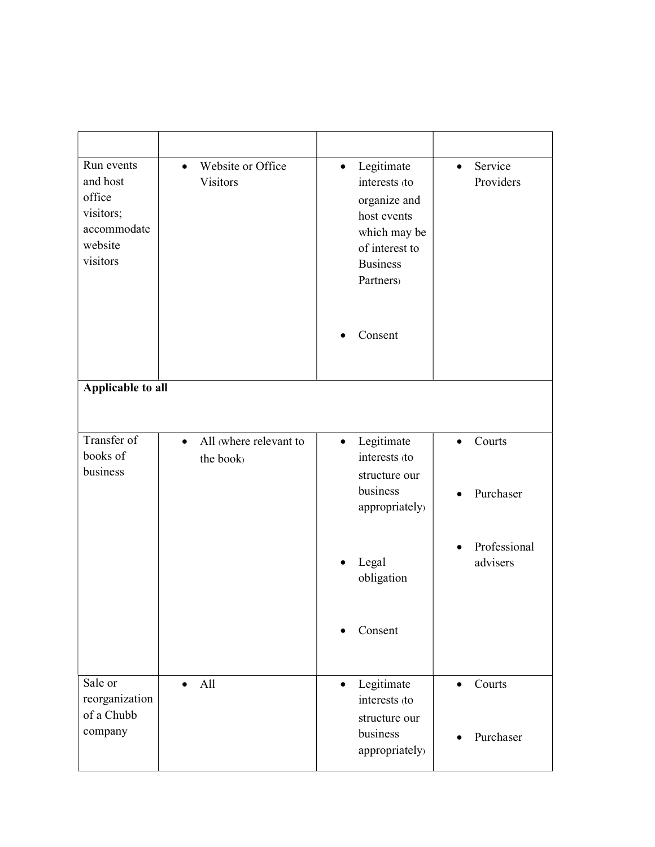| Run events<br>and host<br>office<br>visitors;<br>accommodate<br>website<br>visitors | Website or Office<br>$\bullet$<br>Visitors     | Legitimate<br>$\bullet$<br>interests (to<br>organize and<br>host events<br>which may be<br>of interest to<br><b>Business</b><br>Partners) | Service<br>$\bullet$<br>Providers |
|-------------------------------------------------------------------------------------|------------------------------------------------|-------------------------------------------------------------------------------------------------------------------------------------------|-----------------------------------|
|                                                                                     |                                                | Consent                                                                                                                                   |                                   |
| Applicable to all                                                                   |                                                |                                                                                                                                           |                                   |
| Transfer of<br>books of<br>business                                                 | All where relevant to<br>$\bullet$<br>the book | Legitimate<br>$\bullet$<br>interests (to<br>structure our                                                                                 | Courts<br>$\bullet$               |
|                                                                                     |                                                | business<br>appropriately)                                                                                                                | Purchaser                         |
|                                                                                     |                                                | Legal<br>obligation                                                                                                                       | Professional<br>advisers          |
|                                                                                     |                                                | Consent                                                                                                                                   |                                   |
| Sale or<br>reorganization<br>of a Chubb                                             | All<br>$\bullet$                               | Legitimate<br>$\bullet$<br>interests (to<br>structure our                                                                                 | Courts<br>$\bullet$               |
| company                                                                             |                                                | business<br>appropriately)                                                                                                                | Purchaser                         |